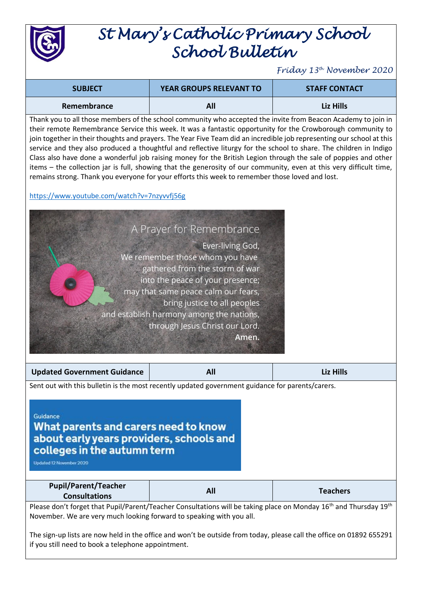

## *St Mary's Catholic Primary School School Bulletin*

*Friday 13th November 2020*

| <b>SUBJECT</b> | <b>YEAR GROUPS RELEVANT TO</b> | <b>STAFF CONTACT</b> |
|----------------|--------------------------------|----------------------|
| Remembrance    | All                            | Liz Hills            |

Thank you to all those members of the school community who accepted the invite from Beacon Academy to join in their remote Remembrance Service this week. It was a fantastic opportunity for the Crowborough community to join together in their thoughts and prayers. The Year Five Team did an incredible job representing our school at this service and they also produced a thoughtful and reflective liturgy for the school to share. The children in Indigo Class also have done a wonderful job raising money for the British Legion through the sale of poppies and other items – the collection jar is full, showing that the generosity of our community, even at this very difficult time, remains strong. Thank you everyone for your efforts this week to remember those loved and lost.

<https://www.youtube.com/watch?v=7nzyvvfj56g>



What parents and carers need to know about early years providers, schools and colleges in the autumn term

Updated 12 November 2020

| <b>Pupil/Parent/Teacher</b> | All | <b>Teachers</b> |
|-----------------------------|-----|-----------------|
| <b>Consultations</b>        |     |                 |

Please don't forget that Pupil/Parent/Teacher Consultations will be taking place on Monday 16<sup>th</sup> and Thursday 19<sup>th</sup> November. We are very much looking forward to speaking with you all.

The sign-up lists are now held in the office and won't be outside from today, please call the office on 01892 655291 if you still need to book a telephone appointment.